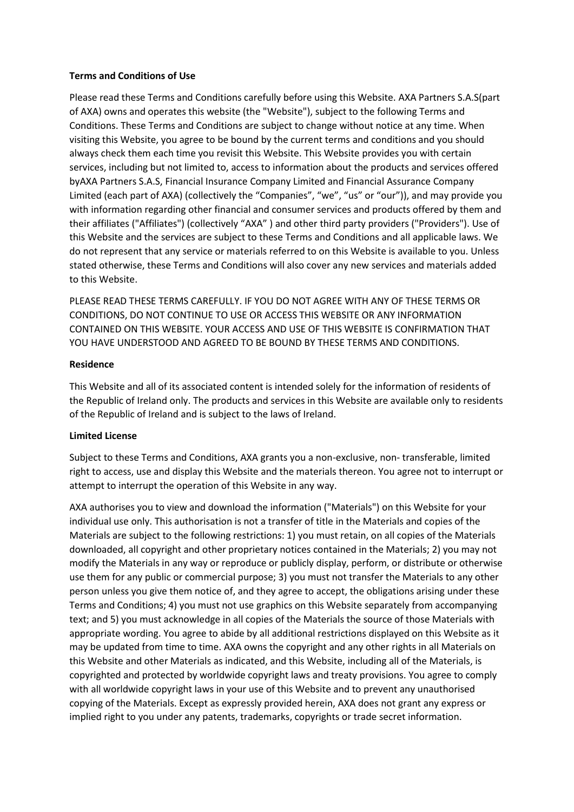### **Terms and Conditions of Use**

Please read these Terms and Conditions carefully before using this Website. AXA Partners S.A.S(part of AXA) owns and operates this website (the "Website"), subject to the following Terms and Conditions. These Terms and Conditions are subject to change without notice at any time. When visiting this Website, you agree to be bound by the current terms and conditions and you should always check them each time you revisit this Website. This Website provides you with certain services, including but not limited to, access to information about the products and services offered byAXA Partners S.A.S, Financial Insurance Company Limited and Financial Assurance Company Limited (each part of AXA) (collectively the "Companies", "we", "us" or "our")), and may provide you with information regarding other financial and consumer services and products offered by them and their affiliates ("Affiliates") (collectively "AXA" ) and other third party providers ("Providers"). Use of this Website and the services are subject to these Terms and Conditions and all applicable laws. We do not represent that any service or materials referred to on this Website is available to you. Unless stated otherwise, these Terms and Conditions will also cover any new services and materials added to this Website.

PLEASE READ THESE TERMS CAREFULLY. IF YOU DO NOT AGREE WITH ANY OF THESE TERMS OR CONDITIONS, DO NOT CONTINUE TO USE OR ACCESS THIS WEBSITE OR ANY INFORMATION CONTAINED ON THIS WEBSITE. YOUR ACCESS AND USE OF THIS WEBSITE IS CONFIRMATION THAT YOU HAVE UNDERSTOOD AND AGREED TO BE BOUND BY THESE TERMS AND CONDITIONS.

## **Residence**

This Website and all of its associated content is intended solely for the information of residents of the Republic of Ireland only. The products and services in this Website are available only to residents of the Republic of Ireland and is subject to the laws of Ireland.

# **Limited License**

Subject to these Terms and Conditions, AXA grants you a non-exclusive, non- transferable, limited right to access, use and display this Website and the materials thereon. You agree not to interrupt or attempt to interrupt the operation of this Website in any way.

AXA authorises you to view and download the information ("Materials") on this Website for your individual use only. This authorisation is not a transfer of title in the Materials and copies of the Materials are subject to the following restrictions: 1) you must retain, on all copies of the Materials downloaded, all copyright and other proprietary notices contained in the Materials; 2) you may not modify the Materials in any way or reproduce or publicly display, perform, or distribute or otherwise use them for any public or commercial purpose; 3) you must not transfer the Materials to any other person unless you give them notice of, and they agree to accept, the obligations arising under these Terms and Conditions; 4) you must not use graphics on this Website separately from accompanying text; and 5) you must acknowledge in all copies of the Materials the source of those Materials with appropriate wording. You agree to abide by all additional restrictions displayed on this Website as it may be updated from time to time. AXA owns the copyright and any other rights in all Materials on this Website and other Materials as indicated, and this Website, including all of the Materials, is copyrighted and protected by worldwide copyright laws and treaty provisions. You agree to comply with all worldwide copyright laws in your use of this Website and to prevent any unauthorised copying of the Materials. Except as expressly provided herein, AXA does not grant any express or implied right to you under any patents, trademarks, copyrights or trade secret information.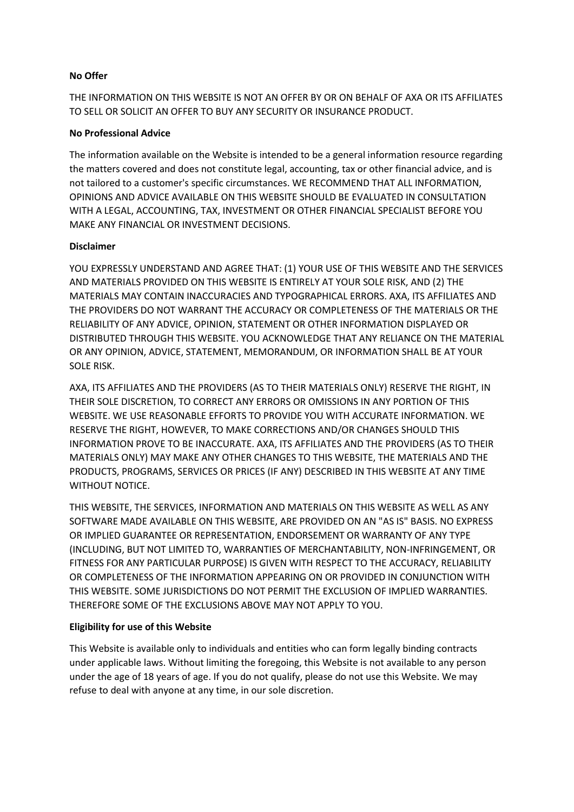## **No Offer**

THE INFORMATION ON THIS WEBSITE IS NOT AN OFFER BY OR ON BEHALF OF AXA OR ITS AFFILIATES TO SELL OR SOLICIT AN OFFER TO BUY ANY SECURITY OR INSURANCE PRODUCT.

## **No Professional Advice**

The information available on the Website is intended to be a general information resource regarding the matters covered and does not constitute legal, accounting, tax or other financial advice, and is not tailored to a customer's specific circumstances. WE RECOMMEND THAT ALL INFORMATION, OPINIONS AND ADVICE AVAILABLE ON THIS WEBSITE SHOULD BE EVALUATED IN CONSULTATION WITH A LEGAL, ACCOUNTING, TAX, INVESTMENT OR OTHER FINANCIAL SPECIALIST BEFORE YOU MAKE ANY FINANCIAL OR INVESTMENT DECISIONS.

## **Disclaimer**

YOU EXPRESSLY UNDERSTAND AND AGREE THAT: (1) YOUR USE OF THIS WEBSITE AND THE SERVICES AND MATERIALS PROVIDED ON THIS WEBSITE IS ENTIRELY AT YOUR SOLE RISK, AND (2) THE MATERIALS MAY CONTAIN INACCURACIES AND TYPOGRAPHICAL ERRORS. AXA, ITS AFFILIATES AND THE PROVIDERS DO NOT WARRANT THE ACCURACY OR COMPLETENESS OF THE MATERIALS OR THE RELIABILITY OF ANY ADVICE, OPINION, STATEMENT OR OTHER INFORMATION DISPLAYED OR DISTRIBUTED THROUGH THIS WEBSITE. YOU ACKNOWLEDGE THAT ANY RELIANCE ON THE MATERIAL OR ANY OPINION, ADVICE, STATEMENT, MEMORANDUM, OR INFORMATION SHALL BE AT YOUR SOLE RISK.

AXA, ITS AFFILIATES AND THE PROVIDERS (AS TO THEIR MATERIALS ONLY) RESERVE THE RIGHT, IN THEIR SOLE DISCRETION, TO CORRECT ANY ERRORS OR OMISSIONS IN ANY PORTION OF THIS WEBSITE. WE USE REASONABLE EFFORTS TO PROVIDE YOU WITH ACCURATE INFORMATION. WE RESERVE THE RIGHT, HOWEVER, TO MAKE CORRECTIONS AND/OR CHANGES SHOULD THIS INFORMATION PROVE TO BE INACCURATE. AXA, ITS AFFILIATES AND THE PROVIDERS (AS TO THEIR MATERIALS ONLY) MAY MAKE ANY OTHER CHANGES TO THIS WEBSITE, THE MATERIALS AND THE PRODUCTS, PROGRAMS, SERVICES OR PRICES (IF ANY) DESCRIBED IN THIS WEBSITE AT ANY TIME WITHOUT NOTICE.

THIS WEBSITE, THE SERVICES, INFORMATION AND MATERIALS ON THIS WEBSITE AS WELL AS ANY SOFTWARE MADE AVAILABLE ON THIS WEBSITE, ARE PROVIDED ON AN "AS IS" BASIS. NO EXPRESS OR IMPLIED GUARANTEE OR REPRESENTATION, ENDORSEMENT OR WARRANTY OF ANY TYPE (INCLUDING, BUT NOT LIMITED TO, WARRANTIES OF MERCHANTABILITY, NON-INFRINGEMENT, OR FITNESS FOR ANY PARTICULAR PURPOSE) IS GIVEN WITH RESPECT TO THE ACCURACY, RELIABILITY OR COMPLETENESS OF THE INFORMATION APPEARING ON OR PROVIDED IN CONJUNCTION WITH THIS WEBSITE. SOME JURISDICTIONS DO NOT PERMIT THE EXCLUSION OF IMPLIED WARRANTIES. THEREFORE SOME OF THE EXCLUSIONS ABOVE MAY NOT APPLY TO YOU.

# **Eligibility for use of this Website**

This Website is available only to individuals and entities who can form legally binding contracts under applicable laws. Without limiting the foregoing, this Website is not available to any person under the age of 18 years of age. If you do not qualify, please do not use this Website. We may refuse to deal with anyone at any time, in our sole discretion.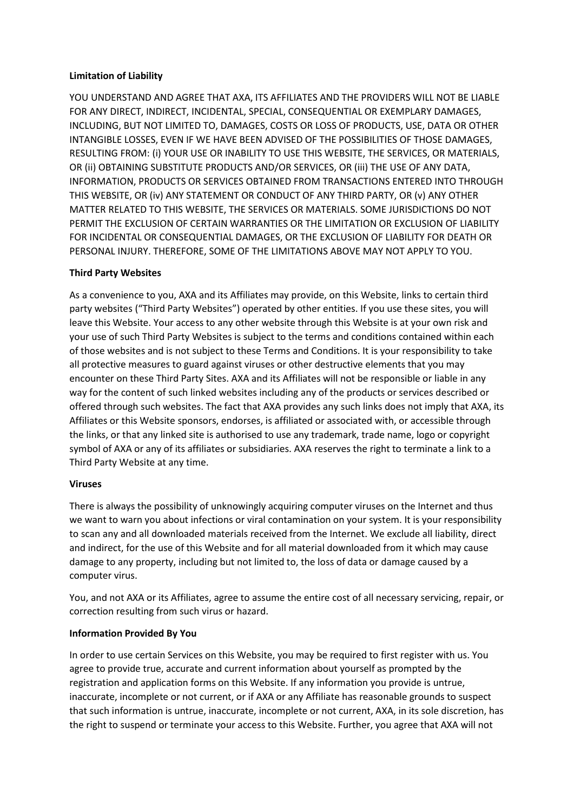## **Limitation of Liability**

YOU UNDERSTAND AND AGREE THAT AXA, ITS AFFILIATES AND THE PROVIDERS WILL NOT BE LIABLE FOR ANY DIRECT, INDIRECT, INCIDENTAL, SPECIAL, CONSEQUENTIAL OR EXEMPLARY DAMAGES, INCLUDING, BUT NOT LIMITED TO, DAMAGES, COSTS OR LOSS OF PRODUCTS, USE, DATA OR OTHER INTANGIBLE LOSSES, EVEN IF WE HAVE BEEN ADVISED OF THE POSSIBILITIES OF THOSE DAMAGES, RESULTING FROM: (i) YOUR USE OR INABILITY TO USE THIS WEBSITE, THE SERVICES, OR MATERIALS, OR (ii) OBTAINING SUBSTITUTE PRODUCTS AND/OR SERVICES, OR (iii) THE USE OF ANY DATA, INFORMATION, PRODUCTS OR SERVICES OBTAINED FROM TRANSACTIONS ENTERED INTO THROUGH THIS WEBSITE, OR (iv) ANY STATEMENT OR CONDUCT OF ANY THIRD PARTY, OR (v) ANY OTHER MATTER RELATED TO THIS WEBSITE, THE SERVICES OR MATERIALS. SOME JURISDICTIONS DO NOT PERMIT THE EXCLUSION OF CERTAIN WARRANTIES OR THE LIMITATION OR EXCLUSION OF LIABILITY FOR INCIDENTAL OR CONSEQUENTIAL DAMAGES, OR THE EXCLUSION OF LIABILITY FOR DEATH OR PERSONAL INJURY. THEREFORE, SOME OF THE LIMITATIONS ABOVE MAY NOT APPLY TO YOU.

# **Third Party Websites**

As a convenience to you, AXA and its Affiliates may provide, on this Website, links to certain third party websites ("Third Party Websites") operated by other entities. If you use these sites, you will leave this Website. Your access to any other website through this Website is at your own risk and your use of such Third Party Websites is subject to the terms and conditions contained within each of those websites and is not subject to these Terms and Conditions. It is your responsibility to take all protective measures to guard against viruses or other destructive elements that you may encounter on these Third Party Sites. AXA and its Affiliates will not be responsible or liable in any way for the content of such linked websites including any of the products or services described or offered through such websites. The fact that AXA provides any such links does not imply that AXA, its Affiliates or this Website sponsors, endorses, is affiliated or associated with, or accessible through the links, or that any linked site is authorised to use any trademark, trade name, logo or copyright symbol of AXA or any of its affiliates or subsidiaries. AXA reserves the right to terminate a link to a Third Party Website at any time.

### **Viruses**

There is always the possibility of unknowingly acquiring computer viruses on the Internet and thus we want to warn you about infections or viral contamination on your system. It is your responsibility to scan any and all downloaded materials received from the Internet. We exclude all liability, direct and indirect, for the use of this Website and for all material downloaded from it which may cause damage to any property, including but not limited to, the loss of data or damage caused by a computer virus.

You, and not AXA or its Affiliates, agree to assume the entire cost of all necessary servicing, repair, or correction resulting from such virus or hazard.

# **Information Provided By You**

In order to use certain Services on this Website, you may be required to first register with us. You agree to provide true, accurate and current information about yourself as prompted by the registration and application forms on this Website. If any information you provide is untrue, inaccurate, incomplete or not current, or if AXA or any Affiliate has reasonable grounds to suspect that such information is untrue, inaccurate, incomplete or not current, AXA, in its sole discretion, has the right to suspend or terminate your access to this Website. Further, you agree that AXA will not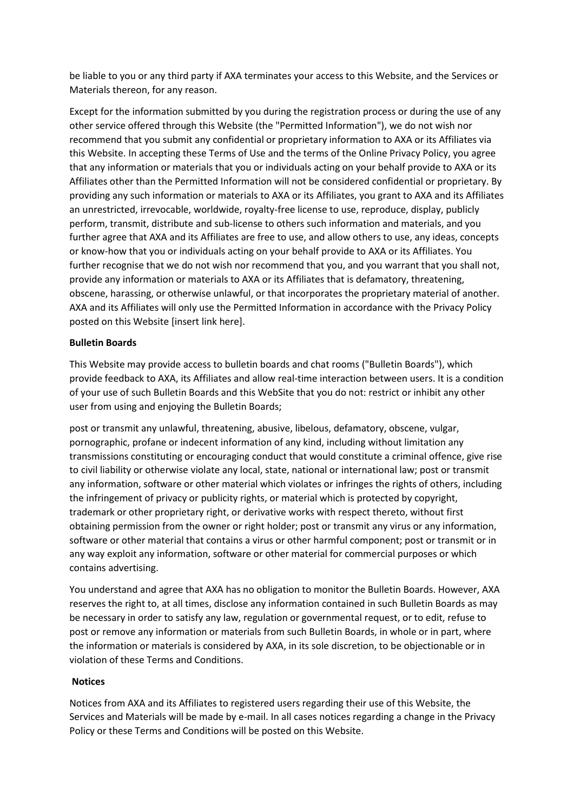be liable to you or any third party if AXA terminates your access to this Website, and the Services or Materials thereon, for any reason.

Except for the information submitted by you during the registration process or during the use of any other service offered through this Website (the "Permitted Information"), we do not wish nor recommend that you submit any confidential or proprietary information to AXA or its Affiliates via this Website. In accepting these Terms of Use and the terms of the Online Privacy Policy, you agree that any information or materials that you or individuals acting on your behalf provide to AXA or its Affiliates other than the Permitted Information will not be considered confidential or proprietary. By providing any such information or materials to AXA or its Affiliates, you grant to AXA and its Affiliates an unrestricted, irrevocable, worldwide, royalty-free license to use, reproduce, display, publicly perform, transmit, distribute and sub-license to others such information and materials, and you further agree that AXA and its Affiliates are free to use, and allow others to use, any ideas, concepts or know-how that you or individuals acting on your behalf provide to AXA or its Affiliates. You further recognise that we do not wish nor recommend that you, and you warrant that you shall not, provide any information or materials to AXA or its Affiliates that is defamatory, threatening, obscene, harassing, or otherwise unlawful, or that incorporates the proprietary material of another. AXA and its Affiliates will only use the Permitted Information in accordance with the Privacy Policy posted on this Website [insert link here].

## **Bulletin Boards**

This Website may provide access to bulletin boards and chat rooms ("Bulletin Boards"), which provide feedback to AXA, its Affiliates and allow real-time interaction between users. It is a condition of your use of such Bulletin Boards and this WebSite that you do not: restrict or inhibit any other user from using and enjoying the Bulletin Boards;

post or transmit any unlawful, threatening, abusive, libelous, defamatory, obscene, vulgar, pornographic, profane or indecent information of any kind, including without limitation any transmissions constituting or encouraging conduct that would constitute a criminal offence, give rise to civil liability or otherwise violate any local, state, national or international law; post or transmit any information, software or other material which violates or infringes the rights of others, including the infringement of privacy or publicity rights, or material which is protected by copyright, trademark or other proprietary right, or derivative works with respect thereto, without first obtaining permission from the owner or right holder; post or transmit any virus or any information, software or other material that contains a virus or other harmful component; post or transmit or in any way exploit any information, software or other material for commercial purposes or which contains advertising.

You understand and agree that AXA has no obligation to monitor the Bulletin Boards. However, AXA reserves the right to, at all times, disclose any information contained in such Bulletin Boards as may be necessary in order to satisfy any law, regulation or governmental request, or to edit, refuse to post or remove any information or materials from such Bulletin Boards, in whole or in part, where the information or materials is considered by AXA, in its sole discretion, to be objectionable or in violation of these Terms and Conditions.

### **Notices**

Notices from AXA and its Affiliates to registered users regarding their use of this Website, the Services and Materials will be made by e-mail. In all cases notices regarding a change in the Privacy Policy or these Terms and Conditions will be posted on this Website.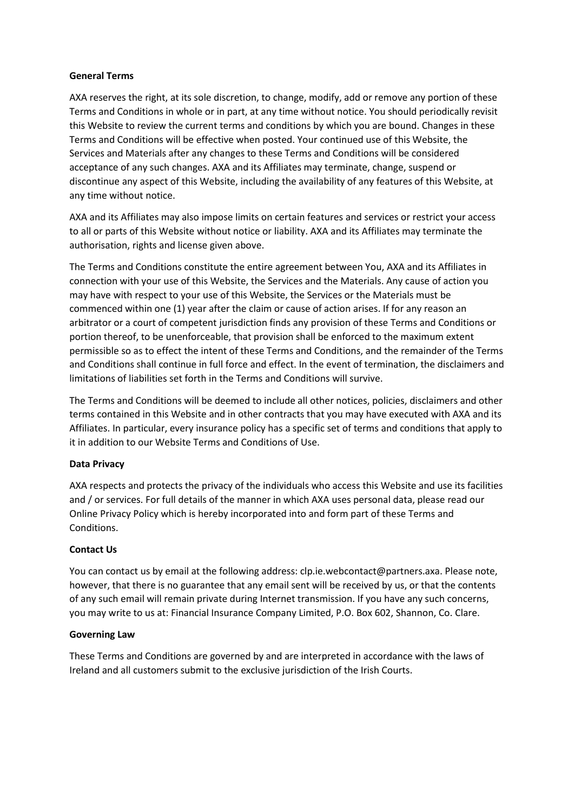### **General Terms**

AXA reserves the right, at its sole discretion, to change, modify, add or remove any portion of these Terms and Conditions in whole or in part, at any time without notice. You should periodically revisit this Website to review the current terms and conditions by which you are bound. Changes in these Terms and Conditions will be effective when posted. Your continued use of this Website, the Services and Materials after any changes to these Terms and Conditions will be considered acceptance of any such changes. AXA and its Affiliates may terminate, change, suspend or discontinue any aspect of this Website, including the availability of any features of this Website, at any time without notice.

AXA and its Affiliates may also impose limits on certain features and services or restrict your access to all or parts of this Website without notice or liability. AXA and its Affiliates may terminate the authorisation, rights and license given above.

The Terms and Conditions constitute the entire agreement between You, AXA and its Affiliates in connection with your use of this Website, the Services and the Materials. Any cause of action you may have with respect to your use of this Website, the Services or the Materials must be commenced within one (1) year after the claim or cause of action arises. If for any reason an arbitrator or a court of competent jurisdiction finds any provision of these Terms and Conditions or portion thereof, to be unenforceable, that provision shall be enforced to the maximum extent permissible so as to effect the intent of these Terms and Conditions, and the remainder of the Terms and Conditions shall continue in full force and effect. In the event of termination, the disclaimers and limitations of liabilities set forth in the Terms and Conditions will survive.

The Terms and Conditions will be deemed to include all other notices, policies, disclaimers and other terms contained in this Website and in other contracts that you may have executed with AXA and its Affiliates. In particular, every insurance policy has a specific set of terms and conditions that apply to it in addition to our Website Terms and Conditions of Use.

# **Data Privacy**

AXA respects and protects the privacy of the individuals who access this Website and use its facilities and / or services. For full details of the manner in which AXA uses personal data, please read our Online Privacy Policy which is hereby incorporated into and form part of these Terms and Conditions.

# **Contact Us**

You can contact us by email at the following address: clp.ie.webcontact@partners.axa. Please note, however, that there is no guarantee that any email sent will be received by us, or that the contents of any such email will remain private during Internet transmission. If you have any such concerns, you may write to us at: Financial Insurance Company Limited, P.O. Box 602, Shannon, Co. Clare.

### **Governing Law**

These Terms and Conditions are governed by and are interpreted in accordance with the laws of Ireland and all customers submit to the exclusive jurisdiction of the Irish Courts.